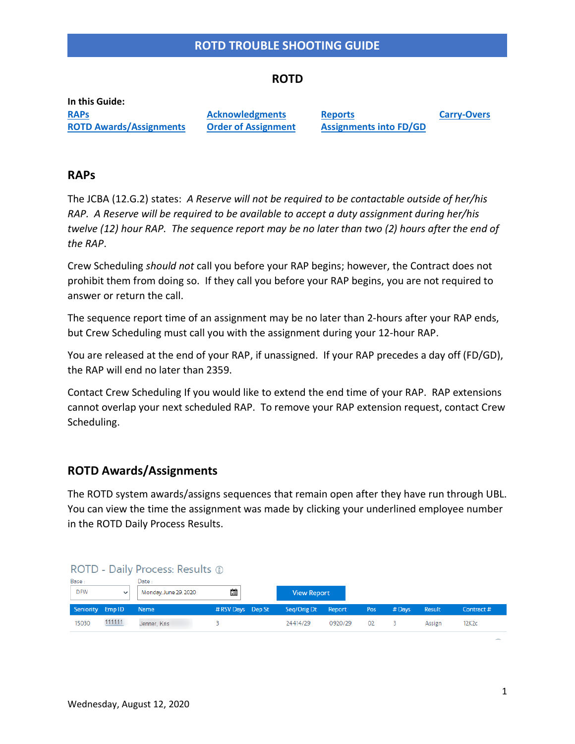## **ROTD**

**In this Guide: [RAPs](#page-0-0) ROTD [Awards/Assignments](#page-0-1)**

**[Acknowledgments](#page-2-0) [Order of Assignment](#page-2-1)** **[Reports](#page-3-0) [Assignments into](#page-5-0) FD/GD** **[Carry-Overs](#page-6-0)**

## <span id="page-0-0"></span>**RAPs**

The JCBA (12.G.2) states: *A Reserve will not be required to be contactable outside of her/his RAP. A Reserve will be required to be available to accept a duty assignment during her/his twelve (12) hour RAP. The sequence report may be no later than two (2) hours after the end of the RAP*.

Crew Scheduling *should not* call you before your RAP begins; however, the Contract does not prohibit them from doing so. If they call you before your RAP begins, you are not required to answer or return the call.

The sequence report time of an assignment may be no later than 2-hours after your RAP ends, but Crew Scheduling must call you with the assignment during your 12-hour RAP.

You are released at the end of your RAP, if unassigned. If your RAP precedes a day off (FD/GD), the RAP will end no later than 2359.

Contact Crew Scheduling If you would like to extend the end time of your RAP. RAP extensions cannot overlap your next scheduled RAP. To remove your RAP extension request, contact Crew Scheduling.

## <span id="page-0-1"></span>**ROTD Awards/Assignments**

The ROTD system awards/assigns sequences that remain open after they have run through UBL. You can view the time the assignment was made by clicking your underlined employee number in the ROTD Daily Process Results.

## ROTD - Daily Process: Results ®

| Base:<br><b>DFW</b> | $\checkmark$ | Date:<br>Monday, June 29, 2020 | 藟<br><b>View Report</b> |                    |         |     |          |        |           |
|---------------------|--------------|--------------------------------|-------------------------|--------------------|---------|-----|----------|--------|-----------|
| Seniority Emp ID    |              | Name                           | # RSV Days Dep St       | Seq/Orig Dt Report |         | Pos | $#$ Days | Result | Contract# |
| 15030               | 111111       | Jenner, Kris                   |                         | 24414/29           | 0920/29 | 02  |          | Assign | 12K2c     |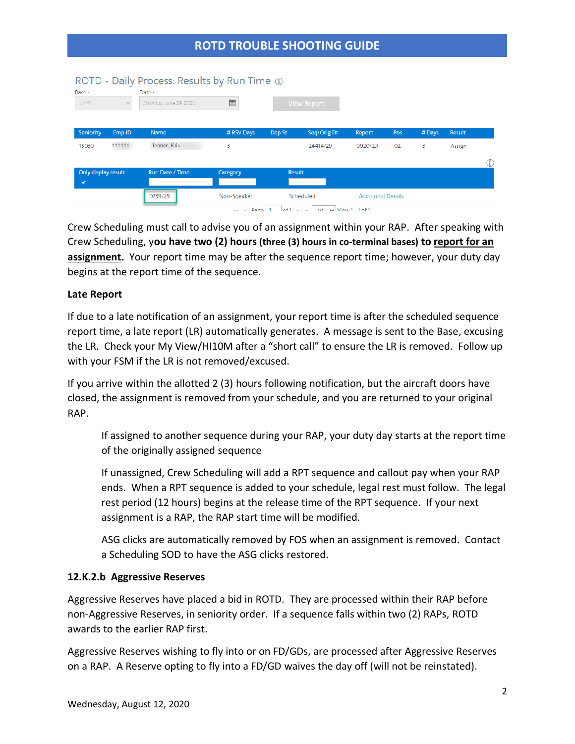| Base:<br><b>DFW</b> | $\sim$            | ROTD - Daily Process: Results by Run Time 1<br>Date:<br>Monday, June 29, 2020 | <b>in</b>        |        | <b>View Report</b>                    |                           |     |       |        |   |
|---------------------|-------------------|-------------------------------------------------------------------------------|------------------|--------|---------------------------------------|---------------------------|-----|-------|--------|---|
| Seniority           | Emp <sub>ID</sub> | <b>Name</b>                                                                   | # RSV Days       | Dep St | Seq/Orig Dt                           | Report                    | Pos | #Days | Result |   |
| 15030               | 111111            | Jenner, Kris                                                                  | 3                |        | 24414/29                              | 0920/29                   | 02  | 3     | Assign |   |
|                     |                   |                                                                               |                  |        |                                       |                           |     |       |        | 6 |
| Only display result |                   | Run Date / Time                                                               | Category         | Result |                                       |                           |     |       |        |   |
| ✓                   |                   |                                                                               |                  |        |                                       |                           |     |       |        |   |
|                     |                   | 0739/29                                                                       | Non-Speaker      |        | Scheduled                             | <b>Additional Details</b> |     |       |        |   |
|                     |                   |                                                                               | <b>HERE</b> PAGA |        | $of 1 \rightarrow 10 \times \text{V}$ |                           |     |       |        |   |

Crew Scheduling must call to advise you of an assignment within your RAP. After speaking with Crew Scheduling, y**ou have two (2) hours (three (3) hours in co-terminal bases) to report for an assignment.** Your report time may be after the sequence report time; however, your duty day begins at the report time of the sequence.

## **Late Report**

If due to a late notification of an assignment, your report time is after the scheduled sequence report time, a late report (LR) automatically generates. A message is sent to the Base, excusing the LR. Check your My View/HI10M after a "short call" to ensure the LR is removed. Follow up with your FSM if the LR is not removed/excused.

If you arrive within the allotted 2 (3) hours following notification, but the aircraft doors have closed, the assignment is removed from your schedule, and you are returned to your original RAP.

If assigned to another sequence during your RAP, your duty day starts at the report time of the originally assigned sequence

If unassigned, Crew Scheduling will add a RPT sequence and callout pay when your RAP ends. When a RPT sequence is added to your schedule, legal rest must follow. The legal rest period (12 hours) begins at the release time of the RPT sequence. If your next assignment is a RAP, the RAP start time will be modified.

ASG clicks are automatically removed by FOS when an assignment is removed. Contact a Scheduling SOD to have the ASG clicks restored.

## **12.K.2.b Aggressive Reserves**

Aggressive Reserves have placed a bid in ROTD. They are processed within their RAP before non-Aggressive Reserves, in seniority order. If a sequence falls within two (2) RAPs, ROTD awards to the earlier RAP first.

Aggressive Reserves wishing to fly into or on FD/GDs, are processed after Aggressive Reserves on a RAP. A Reserve opting to fly into a FD/GD waives the day off (will not be reinstated).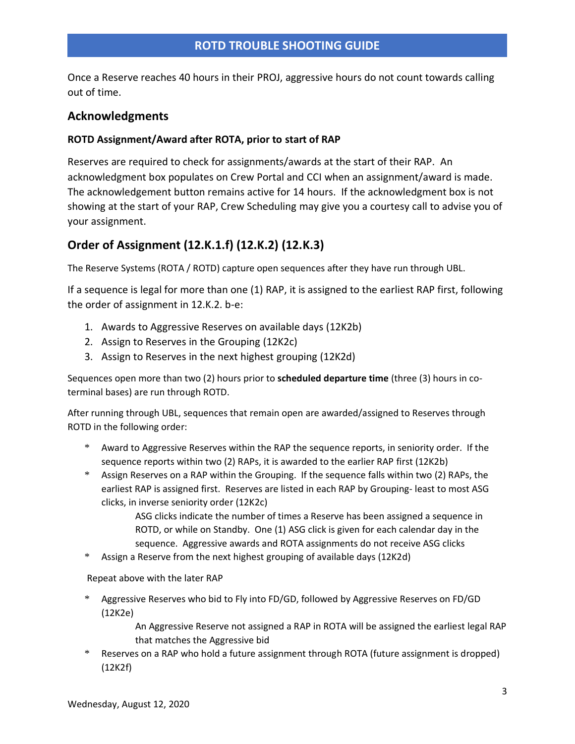Once a Reserve reaches 40 hours in their PROJ, aggressive hours do not count towards calling out of time.

# <span id="page-2-0"></span>**Acknowledgments**

## **ROTD Assignment/Award after ROTA, prior to start of RAP**

Reserves are required to check for assignments/awards at the start of their RAP. An acknowledgment box populates on Crew Portal and CCI when an assignment/award is made. The acknowledgement button remains active for 14 hours. If the acknowledgment box is not showing at the start of your RAP, Crew Scheduling may give you a courtesy call to advise you of your assignment.

# <span id="page-2-1"></span>**Order of Assignment (12.K.1.f) (12.K.2) (12.K.3)**

The Reserve Systems (ROTA / ROTD) capture open sequences after they have run through UBL.

If a sequence is legal for more than one (1) RAP, it is assigned to the earliest RAP first, following the order of assignment in 12.K.2. b-e:

- 1. Awards to Aggressive Reserves on available days (12K2b)
- 2. Assign to Reserves in the Grouping (12K2c)
- 3. Assign to Reserves in the next highest grouping (12K2d)

Sequences open more than two (2) hours prior to **scheduled departure time** (three (3) hours in coterminal bases) are run through ROTD.

After running through UBL, sequences that remain open are awarded/assigned to Reserves through ROTD in the following order:

- \* Award to Aggressive Reserves within the RAP the sequence reports, in seniority order. If the sequence reports within two (2) RAPs, it is awarded to the earlier RAP first (12K2b)
- \* Assign Reserves on a RAP within the Grouping. If the sequence falls within two (2) RAPs, the earliest RAP is assigned first. Reserves are listed in each RAP by Grouping- least to most ASG clicks, in inverse seniority order (12K2c)

ASG clicks indicate the number of times a Reserve has been assigned a sequence in ROTD, or while on Standby. One (1) ASG click is given for each calendar day in the sequence. Aggressive awards and ROTA assignments do not receive ASG clicks

\* Assign a Reserve from the next highest grouping of available days (12K2d)

Repeat above with the later RAP

Aggressive Reserves who bid to Fly into FD/GD, followed by Aggressive Reserves on FD/GD (12K2e)

> An Aggressive Reserve not assigned a RAP in ROTA will be assigned the earliest legal RAP that matches the Aggressive bid

\* Reserves on a RAP who hold a future assignment through ROTA (future assignment is dropped) (12K2f)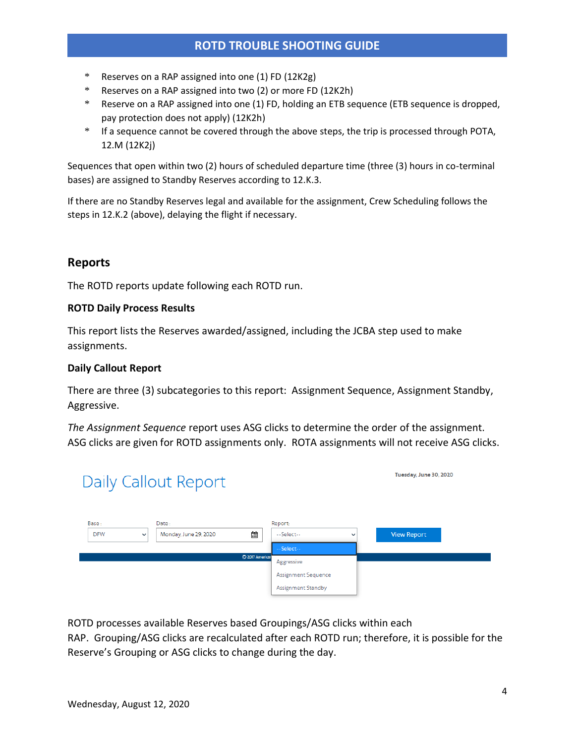- \* Reserves on a RAP assigned into one (1) FD (12K2g)
- \* Reserves on a RAP assigned into two (2) or more FD (12K2h)
- \* Reserve on a RAP assigned into one (1) FD, holding an ETB sequence (ETB sequence is dropped, pay protection does not apply) (12K2h)
- \* If a sequence cannot be covered through the above steps, the trip is processed through POTA, 12.M (12K2j)

Sequences that open within two (2) hours of scheduled departure time (three (3) hours in co-terminal bases) are assigned to Standby Reserves according to 12.K.3.

If there are no Standby Reserves legal and available for the assignment, Crew Scheduling follows the steps in 12.K.2 (above), delaying the flight if necessary.

# <span id="page-3-0"></span>**Reports**

The ROTD reports update following each ROTD run.

## **ROTD Daily Process Results**

This report lists the Reserves awarded/assigned, including the JCBA step used to make assignments.

## **Daily Callout Report**

There are three (3) subcategories to this report: Assignment Sequence, Assignment Standby, Aggressive.

*The Assignment Sequence* report uses ASG clicks to determine the order of the assignment. ASG clicks are given for ROTD assignments only. ROTA assignments will not receive ASG clicks.



ROTD processes available Reserves based Groupings/ASG clicks within each

RAP. Grouping/ASG clicks are recalculated after each ROTD run; therefore, it is possible for the Reserve's Grouping or ASG clicks to change during the day.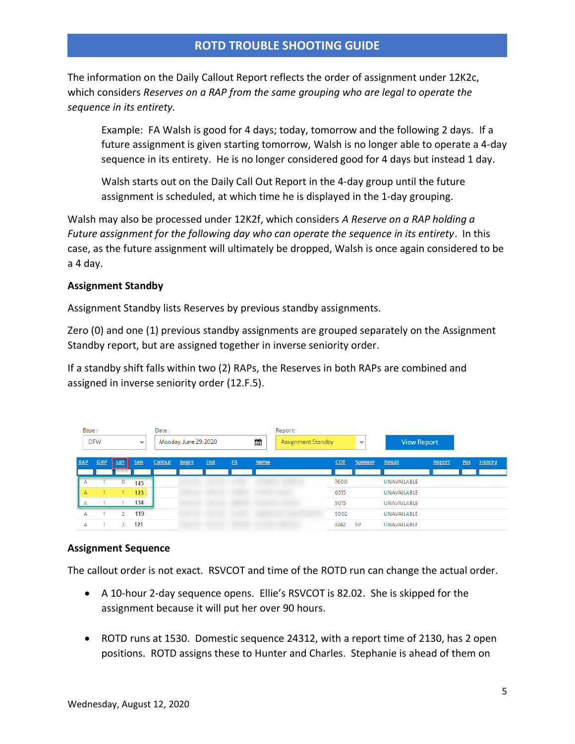The information on the Daily Callout Report reflects the order of assignment under 12K2c, which considers *Reserves on a RAP from the same grouping who are legal to operate the sequence in its entirety.*

Example: FA Walsh is good for 4 days; today, tomorrow and the following 2 days. If a future assignment is given starting tomorrow, Walsh is no longer able to operate a 4-day sequence in its entirety. He is no longer considered good for 4 days but instead 1 day.

Walsh starts out on the Daily Call Out Report in the 4-day group until the future assignment is scheduled, at which time he is displayed in the 1-day grouping.

Walsh may also be processed under 12K2f, which considers *A Reserve on a RAP holding a Future assignment for the following day who can operate the sequence in its entirety*. In this case, as the future assignment will ultimately be dropped, Walsh is once again considered to be a 4 day.

## **Assignment Standby**

Assignment Standby lists Reserves by previous standby assignments.

Zero (0) and one (1) previous standby assignments are grouped separately on the Assignment Standby report, but are assigned together in inverse seniority order.

If a standby shift falls within two (2) RAPs, the Reserves in both RAPs are combined and assigned in inverse seniority order (12.F.5).

| Base:      |     |            |              | Date:   |                       |     |    |      | Report:                   |      |                |                    |        |     |                |
|------------|-----|------------|--------------|---------|-----------------------|-----|----|------|---------------------------|------|----------------|--------------------|--------|-----|----------------|
| <b>DFW</b> |     |            | $\checkmark$ |         | Monday, June 29, 2020 |     |    | 歯    | <b>Assignment Standby</b> |      | $\checkmark$   | <b>View Report</b> |        |     |                |
| <b>RAP</b> | GRP | <b>SBY</b> | Sen          | Callout | <b>Begin</b>          | End | FA | Name |                           | COT  | <b>Speaker</b> | Result             | Report | Pos | <b>History</b> |
|            |     |            |              |         |                       |     |    |      |                           |      |                |                    |        |     |                |
| А          |     | $\circ$    | 145          |         |                       |     |    |      |                           | 7600 |                | UNAVAILABLE        |        |     |                |
| А          |     |            | 123.1        |         |                       |     |    |      |                           | 6515 |                | UNAVAILABLE        |        |     |                |
|            |     |            | 134          |         |                       |     |    |      |                           | 5015 |                | UNAVAILABLE        |        |     |                |
| А          |     |            | 119          |         |                       |     |    |      |                           | 5002 |                | UNAVAILABLE        |        |     |                |
| A          |     |            | 121          |         |                       |     |    |      |                           | 3242 | <b>SP</b>      | UNAVAILABLE        |        |     |                |

## **Assignment Sequence**

The callout order is not exact. RSVCOT and time of the ROTD run can change the actual order.

- A 10-hour 2-day sequence opens. Ellie's RSVCOT is 82.02. She is skipped for the assignment because it will put her over 90 hours.
- ROTD runs at 1530. Domestic sequence 24312, with a report time of 2130, has 2 open positions. ROTD assigns these to Hunter and Charles. Stephanie is ahead of them on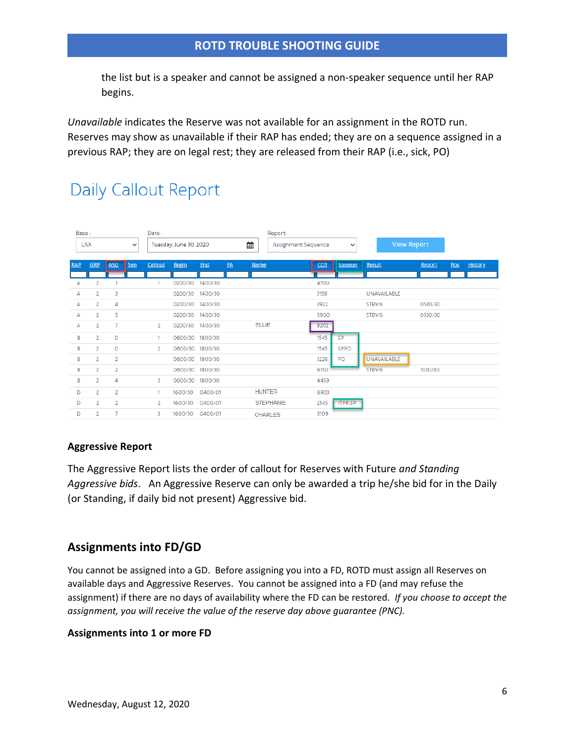the list but is a speaker and cannot be assigned a non-speaker sequence until her RAP begins.

*Unavailable* indicates the Reserve was not available for an assignment in the ROTD run. Reserves may show as unavailable if their RAP has ended; they are on a sequence assigned in a previous RAP; they are on legal rest; they are released from their RAP (i.e., sick, PO)

# **Daily Callout Report**

| Base:               |                |                |                        | Date:          |              |         |                          |                  | Report:      |                    |          |             |         |     |                |
|---------------------|----------------|----------------|------------------------|----------------|--------------|---------|--------------------------|------------------|--------------|--------------------|----------|-------------|---------|-----|----------------|
| LAX<br>$\checkmark$ |                |                | Tuesday, June 30, 2020 |                |              |         | 蘁<br>Assignment Sequence |                  | $\checkmark$ | <b>View Report</b> |          |             |         |     |                |
|                     |                |                |                        |                |              |         |                          |                  |              |                    |          |             |         |     |                |
| <b>RAP</b>          | GRP            | ASG            | Sen                    | Callout        | <b>Begin</b> | End     | FA                       | <b>Name</b>      |              | COT                | Speaker  | Result      | Report  | Pos | <b>History</b> |
| A                   | $\overline{2}$ |                |                        |                | 0200/30      | 1400/30 |                          |                  |              | 4700               |          |             |         |     |                |
| А                   | $\overline{2}$ | 3              |                        |                | 0200/30      | 1400/30 |                          |                  |              | 3159               |          | UNAVAILABLE |         |     |                |
| А                   | $\overline{2}$ | 4              |                        |                | 0200/30      | 1400/30 |                          |                  |              | 3922               |          | STBY/6      | 0530/30 |     |                |
| А                   | $\overline{2}$ | 5              |                        |                | 0200/30      | 1400/30 |                          |                  |              | 5900               |          | STBY/6      | 0530/30 |     |                |
| А                   | $\overline{2}$ | 7              |                        | $\overline{2}$ | 0200/30      | 1400/30 |                          | <b>ELLIE</b>     |              | 8202               |          |             |         |     |                |
| B                   | $\overline{2}$ | O              |                        | 1              | 0600/30      | 1800/30 |                          |                  |              | 1545               | SP       |             |         |     |                |
| B                   | $\overline{2}$ | $\circ$        |                        | $\overline{2}$ | 0600/30      | 1800/30 |                          |                  |              | 1545               | SP.PO    |             |         |     |                |
| B                   | $\overline{2}$ | $\overline{2}$ |                        |                | 0600/30      | 1800/30 |                          |                  |              | 3226               | PO       | UNAVAILABLE |         |     |                |
| B                   | $\overline{2}$ | $\overline{2}$ |                        |                | 0600/30      | 1800/30 |                          |                  |              | 6702               |          | STBY/6      | 1030/30 |     |                |
| B                   | 2              | 4              |                        | 3              | 0600/30      | 1800/30 |                          |                  |              | 4459               |          |             |         |     |                |
| D                   | $\overline{2}$ | $\overline{2}$ |                        | 1              | 1600/30      | 0400/01 |                          | <b>HUNTER</b>    |              | 6903               |          |             |         |     |                |
| D                   | $\overline{2}$ | $\overline{2}$ |                        | $\overline{2}$ | 1600/30      | 0400/01 |                          | <b>STEPHANIE</b> |              | 2545               | IT.FR.SP |             |         |     |                |
| D                   | 2              | 7              |                        | 3              | 1600/30      | 0400/01 |                          | <b>CHARLES</b>   |              | 5109               |          |             |         |     |                |

## **Aggressive Report**

The Aggressive Report lists the order of callout for Reserves with Future *and Standing Aggressive bids*. An Aggressive Reserve can only be awarded a trip he/she bid for in the Daily (or Standing, if daily bid not present) Aggressive bid.

## <span id="page-5-0"></span>**Assignments into FD/GD**

You cannot be assigned into a GD. Before assigning you into a FD, ROTD must assign all Reserves on available days and Aggressive Reserves. You cannot be assigned into a FD (and may refuse the assignment) if there are no days of availability where the FD can be restored. *If you choose to accept the assignment, you will receive the value of the reserve day above guarantee (PNC).*

## **Assignments into 1 or more FD**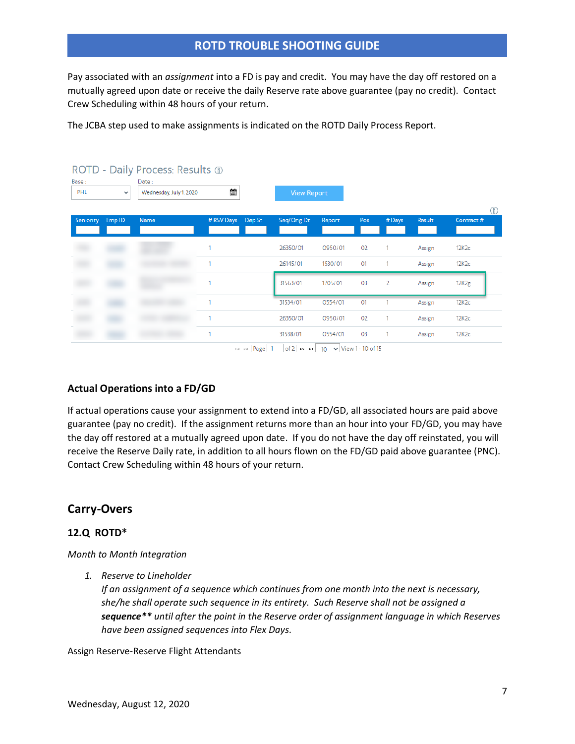Pay associated with an *assignment* into a FD is pay and credit. You may have the day off restored on a mutually agreed upon date or receive the daily Reserve rate above guarantee (pay no credit). Contact Crew Scheduling within 48 hours of your return.

The JCBA step used to make assignments is indicated on the ROTD Daily Process Report.

|                  |                                                  | ROTD - Daily Process: Results 1 |            |                            |                    |                                                                                                                                                                                                                                                                                                                                |     |                |               |                 |
|------------------|--------------------------------------------------|---------------------------------|------------|----------------------------|--------------------|--------------------------------------------------------------------------------------------------------------------------------------------------------------------------------------------------------------------------------------------------------------------------------------------------------------------------------|-----|----------------|---------------|-----------------|
| Base:<br>PHL     | Date:<br>Wednesday, July 1, 2020<br>$\checkmark$ |                                 | 齏          |                            | <b>View Report</b> |                                                                                                                                                                                                                                                                                                                                |     |                |               |                 |
| <b>Seniority</b> | Emp <sub>ID</sub>                                | Name                            | # RSV Days | Dep St                     | Seq/Orig Dt        | Report                                                                                                                                                                                                                                                                                                                         | Pos | #Days          | <b>Result</b> | ⊕<br>Contract # |
|                  |                                                  |                                 |            |                            | 26350/01           | 0950/01                                                                                                                                                                                                                                                                                                                        | 02  | 1.             | Assign        | 12K2c           |
|                  |                                                  |                                 |            |                            | 26145/01           | 1530/01                                                                                                                                                                                                                                                                                                                        | 01  |                | Assign        | 12K2c           |
|                  |                                                  |                                 |            |                            | 31563/01           | 1705/01                                                                                                                                                                                                                                                                                                                        | 03  | $\overline{2}$ | Assign        | 12K2g           |
|                  |                                                  |                                 |            |                            | 31534/01           | 0554/01                                                                                                                                                                                                                                                                                                                        | 01  |                | Assign        | 12K2c           |
|                  |                                                  |                                 | ٠          |                            | 26350/01           | 0950/01                                                                                                                                                                                                                                                                                                                        | 02  |                | Assign        | 12K2c           |
|                  |                                                  |                                 | 1          | <b>Contract Department</b> | 31538/01           | 0554/01<br>$\frac{1}{2}$ $\frac{1}{2}$ $\frac{1}{2}$ $\frac{1}{2}$ $\frac{1}{2}$ $\frac{1}{2}$ $\frac{1}{2}$ $\frac{1}{2}$ $\frac{1}{2}$ $\frac{1}{2}$ $\frac{1}{2}$ $\frac{1}{2}$ $\frac{1}{2}$ $\frac{1}{2}$ $\frac{1}{2}$ $\frac{1}{2}$ $\frac{1}{2}$ $\frac{1}{2}$ $\frac{1}{2}$ $\frac{1}{2}$ $\frac{1}{2}$ $\frac{1}{2}$ | 03  | 1              | Assign        | 12K2c           |

 $\left| \cdot \right|$  < | Page| 1 | | of 2|  $\rightarrow \left| \cdot \right|$  10  $\rightarrow$  | View 1 - 10 of 15

## **Actual Operations into a FD/GD**

If actual operations cause your assignment to extend into a FD/GD, all associated hours are paid above guarantee (pay no credit). If the assignment returns more than an hour into your FD/GD, you may have the day off restored at a mutually agreed upon date. If you do not have the day off reinstated, you will receive the Reserve Daily rate, in addition to all hours flown on the FD/GD paid above guarantee (PNC). Contact Crew Scheduling within 48 hours of your return.

## <span id="page-6-0"></span>**Carry-Overs**

## **12.Q ROTD\***

*Month to Month Integration*

*1. Reserve to Lineholder*

*If an assignment of a sequence which continues from one month into the next is necessary, she/he shall operate such sequence in its entirety. Such Reserve shall not be assigned a sequence\*\* until after the point in the Reserve order of assignment language in which Reserves have been assigned sequences into Flex Days.*

Assign Reserve-Reserve Flight Attendants